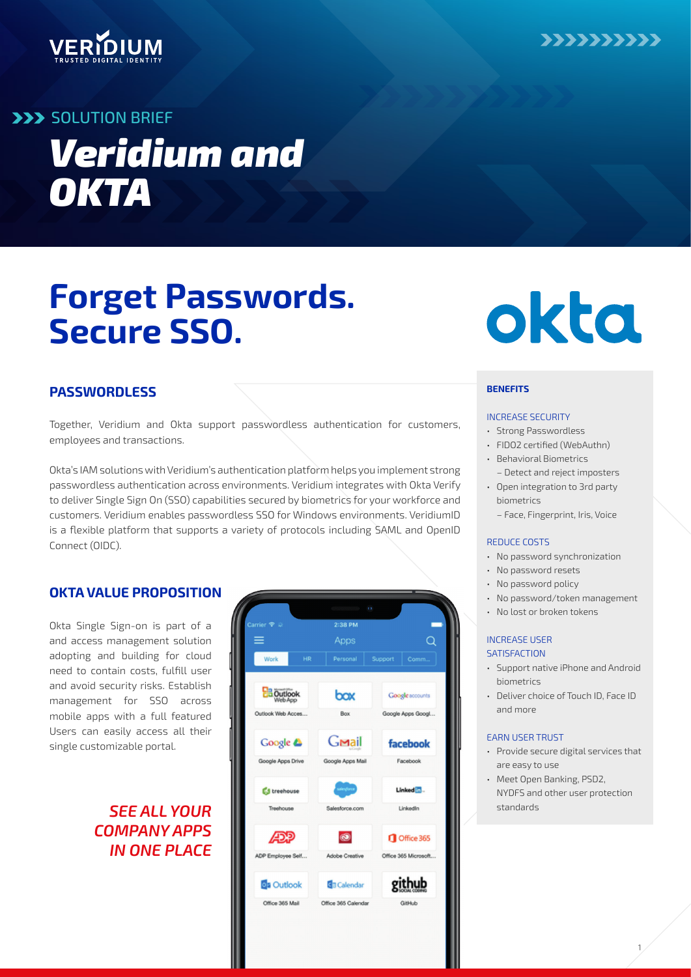

## VERIDIUM

## **SOLUTION BRIEF**

# *Veridium and OKTA*

## **Forget Passwords. Secure SSO.**

## **PASSWORDLESS**

Together, Veridium and Okta support passwordless authentication for customers, employees and transactions.

Okta's IAM solutions with Veridium's authentication platform helps you implement strong passwordless authentication across environments. Veridium integrates with Okta Verify to deliver Single Sign On (SSO) capabilities secured by biometrics for your workforce and customers. Veridium enables passwordless SSO for Windows environments. VeridiumID is a flexible platform that supports a variety of protocols including SAML and OpenID Connect (OIDC).

### **OKTA VALUE PROPOSITION**

Okta Single Sign-on is part of a  $\frac{1}{\sqrt{2}}$  Carrier  $\frac{1}{\sqrt{2}}$  can be a contract  $\frac{1}{2}$  can be a contract  $\frac{1}{2}$  can be a contract  $\frac{1}{2}$  can be a contract of a contract  $\frac{1}{2}$  can be a contract of a contr need to contain costs, fulfill user management for SSO across single customizable portal.

## *COMPANY APPS IN ONE PLACE*





#### **BENEFITS**

#### INCREASE SECURITY

- Strong Passwordless
- FIDO2 certified (WebAuthn)
- Behavioral Biometrics – Detect and reject imposters
- Open integration to 3rd party biometrics
	- Face, Fingerprint, Iris, Voice

#### REDUCE COSTS

- No password synchronization
- No password resets
- No password policy
- No password/token management
- No lost or broken tokens

#### INCREASE USER **SATISFACTION**

- Support native iPhone and Android biometrics
- Deliver choice of Touch ID, Face ID and more

#### EARN USER TRUST

- Provide secure digital services that are easy to use
- Meet Open Banking, PSD2, NYDFS and other user protection